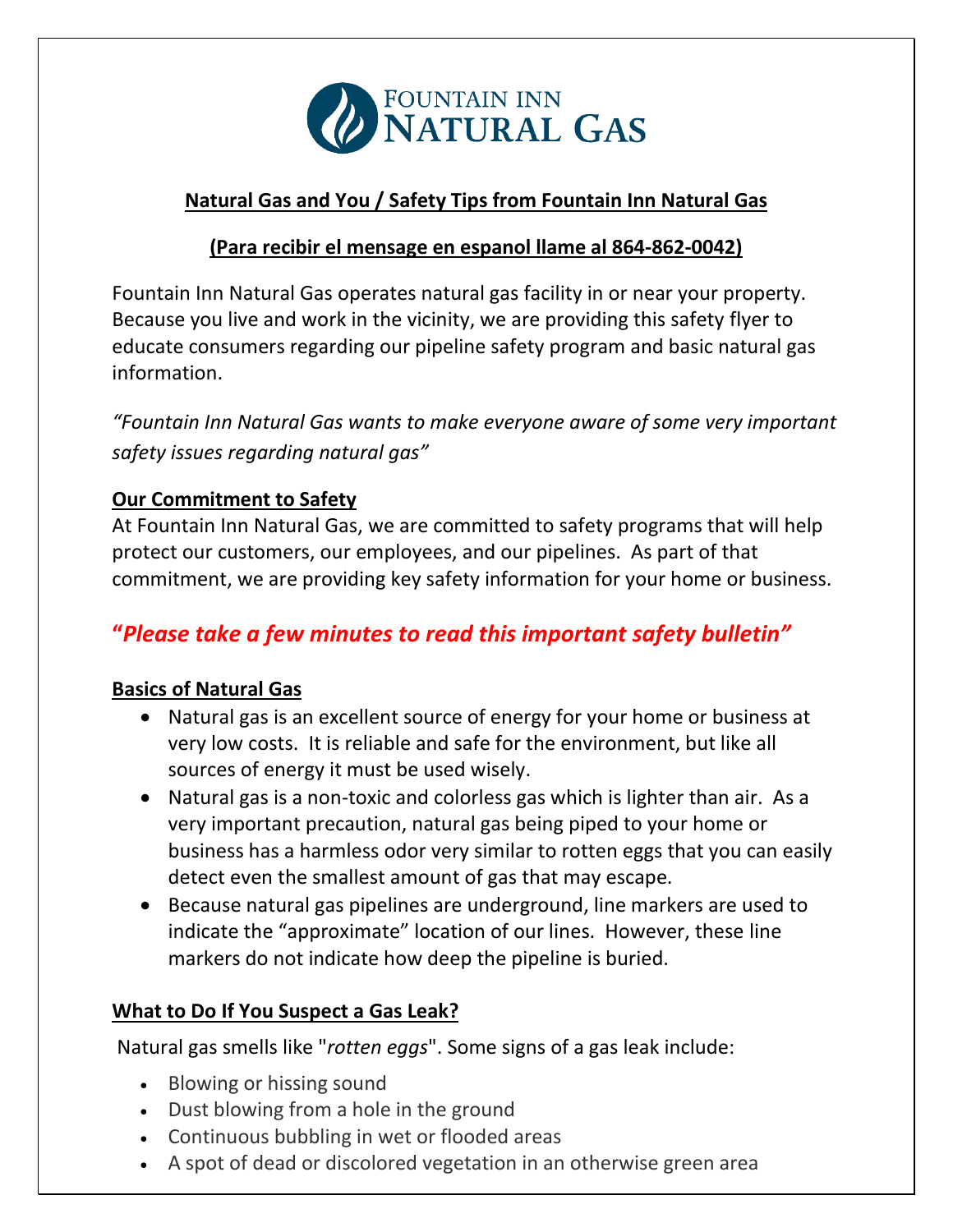

## **Natural Gas and You / Safety Tips from Fountain Inn Natural Gas**

### **(Para recibir el mensage en espanol llame al 864-862-0042)**

Fountain Inn Natural Gas operates natural gas facility in or near your property. Because you live and work in the vicinity, we are providing this safety flyer to educate consumers regarding our pipeline safety program and basic natural gas information.

*"Fountain Inn Natural Gas wants to make everyone aware of some very important safety issues regarding natural gas"*

## **Our Commitment to Safety**

At Fountain Inn Natural Gas, we are committed to safety programs that will help protect our customers, our employees, and our pipelines. As part of that commitment, we are providing key safety information for your home or business.

# **"***Please take a few minutes to read this important safety bulletin"*

#### **Basics of Natural Gas**

- Natural gas is an excellent source of energy for your home or business at very low costs. It is reliable and safe for the environment, but like all sources of energy it must be used wisely.
- Natural gas is a non-toxic and colorless gas which is lighter than air. As a very important precaution, natural gas being piped to your home or business has a harmless odor very similar to rotten eggs that you can easily detect even the smallest amount of gas that may escape.
- Because natural gas pipelines are underground, line markers are used to indicate the "approximate" location of our lines. However, these line markers do not indicate how deep the pipeline is buried.

## **What to Do If You Suspect a Gas Leak?**

Natural gas smells like "*rotten eggs*". Some signs of a gas leak include:

- Blowing or hissing sound
- Dust blowing from a hole in the ground
- Continuous bubbling in wet or flooded areas
- A spot of dead or discolored vegetation in an otherwise green area